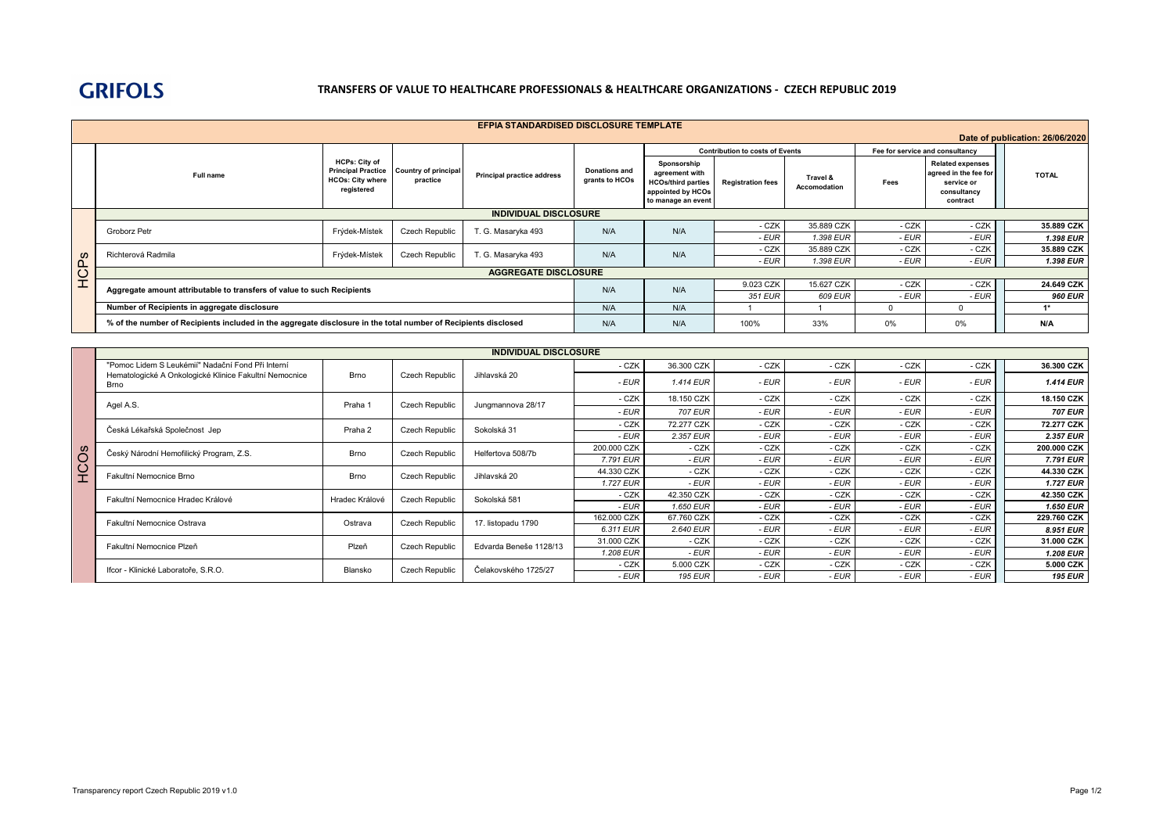## **GRIFOLS**

## **TRANSFERS OF VALUE TO HEALTHCARE PROFESSIONALS & HEALTHCARE ORGANIZATIONS - CZECH REPUBLIC 2019**

| <b>EFPIA STANDARDISED DISCLOSURE TEMPLATE</b> |                                                                                                                |                                                               |                                                     |                                   |                                        |                                                                                                       |                          |                          |                                 |                                                                                           |                |
|-----------------------------------------------|----------------------------------------------------------------------------------------------------------------|---------------------------------------------------------------|-----------------------------------------------------|-----------------------------------|----------------------------------------|-------------------------------------------------------------------------------------------------------|--------------------------|--------------------------|---------------------------------|-------------------------------------------------------------------------------------------|----------------|
| Date of publication: 26/06/2020               |                                                                                                                |                                                               |                                                     |                                   |                                        |                                                                                                       |                          |                          |                                 |                                                                                           |                |
|                                               |                                                                                                                |                                                               |                                                     |                                   |                                        | <b>Contribution to costs of Events</b>                                                                |                          |                          | Fee for service and consultancy |                                                                                           |                |
|                                               | Full name                                                                                                      | <b>HCPs: City of</b><br><b>HCOs: City where</b><br>registered | Principal Practice Country of principal<br>practice | <b>Principal practice address</b> | <b>Donations and</b><br>grants to HCOs | Sponsorship<br>agreement with<br><b>HCOs/third parties</b><br>appointed by HCOs<br>to manage an event | <b>Registration fees</b> | Travel &<br>Accomodation | Fees                            | <b>Related expenses</b><br>agreed in the fee for<br>service or<br>consultancy<br>contract | <b>TOTAL</b>   |
|                                               | <b>INDIVIDUAL DISCLOSURE</b>                                                                                   |                                                               |                                                     |                                   |                                        |                                                                                                       |                          |                          |                                 |                                                                                           |                |
|                                               | Groborz Petr                                                                                                   | Frýdek-Místek                                                 | Czech Republic                                      | T. G. Masaryka 493                | N/A                                    | N/A                                                                                                   | - CZK                    | 35.889 CZK               | - CZK                           | - CZK                                                                                     | 35.889 CZK     |
|                                               |                                                                                                                |                                                               |                                                     |                                   |                                        |                                                                                                       | - EUR                    | 1.398 EUR                | - EUR                           | - EUR                                                                                     | 1.398 EUR      |
|                                               | Richterová Radmila<br>Frýdek-Místek                                                                            |                                                               | <b>Czech Republic</b>                               | T. G. Masaryka 493                | N/A                                    | N/A                                                                                                   | - CZK                    | 35.889 CZK               | - CZK                           | - CZK                                                                                     | 35.889 CZK     |
| HCPs                                          |                                                                                                                |                                                               |                                                     |                                   |                                        |                                                                                                       | - EUR                    | 1.398 EUR                | - EUR                           | - EUR                                                                                     | 1.398 EUR      |
|                                               | <b>AGGREGATE DISCLOSURE</b>                                                                                    |                                                               |                                                     |                                   |                                        |                                                                                                       |                          |                          |                                 |                                                                                           |                |
|                                               | Aggregate amount attributable to transfers of value to such Recipients                                         |                                                               |                                                     |                                   |                                        | N/A                                                                                                   | 9.023 CZK                | 15.627 CZK               | - CZK                           | - CZK                                                                                     | 24.649 CZK     |
|                                               |                                                                                                                |                                                               |                                                     |                                   |                                        |                                                                                                       | 351 EUR                  | 609 EUR                  | - EUR                           | - EUR                                                                                     | <b>960 EUR</b> |
|                                               | Number of Recipients in aggregate disclosure                                                                   |                                                               |                                                     |                                   |                                        | N/A                                                                                                   |                          |                          | $\Omega$                        | $\Omega$                                                                                  | $1*$           |
|                                               | % of the number of Recipients included in the aggregate disclosure in the total number of Recipients disclosed | N/A                                                           | N/A                                                 | 100%                              | 33%                                    | $0\%$                                                                                                 | 0%                       | N/A                      |                                 |                                                                                           |                |

|           | <b>INDIVIDUAL DISCLOSURE</b>                                          |                |                       |                        |             |                |       |       |       |       |                  |
|-----------|-----------------------------------------------------------------------|----------------|-----------------------|------------------------|-------------|----------------|-------|-------|-------|-------|------------------|
|           | "Pomoc Lidem S Leukémií" Nadační Fond Při Interní                     | <b>Brno</b>    | <b>Czech Republic</b> | Jihlavská 20           | - CZK       | 36.300 CZK     | - CZK | - CZK | - CZK | - CZK | 36.300 CZK       |
|           | Hematologické A Onkologické Klinice Fakultní Nemocnice<br><b>Brno</b> |                |                       |                        | - EUR       | 1.414 EUR      | - EUR | - EUR | - EUR | - EUR | <b>1.414 EUR</b> |
|           | Agel A.S.                                                             | Praha 1        | <b>Czech Republic</b> | Jungmannova 28/17      | - CZK       | 18.150 CZK     | - CZK | - CZK | - CZK | - CZK | 18.150 CZK       |
|           |                                                                       |                |                       |                        | - EUR       | <b>707 EUR</b> | - EUR | - EUR | - EUR | - EUR | <b>707 EUR</b>   |
|           | Česká Lékařská Společnost Jep                                         | Praha 2        | <b>Czech Republic</b> | Sokolská 31            | - CZK       | 72.277 CZK     | - CZK | - CZK | - CZK | - CZK | 72.277 CZK       |
|           |                                                                       |                |                       |                        | - EUR       | 2.357 EUR      | - EUR | - EUR | - EUR | - EUR | 2.357 EUR        |
|           | Český Národní Hemofilický Program, Z.S.                               | <b>Brno</b>    | Czech Republic        | Helfertova 508/7b      | 200,000 CZK | - CZK          | - CZK | - CZK | - CZK | - CZK | 200.000 CZK      |
| <b>SO</b> |                                                                       |                |                       |                        | 7.791 EUR   | - EUR          | - EUR | - EUR | - EUR | - EUR | 7.791 EUR        |
| $\circ$   | Fakultní Nemocnice Brno                                               | <b>Brno</b>    | <b>Czech Republic</b> | Jihlavská 20           | 44.330 CZK  | - CZK          | - CZK | - CZK | - CZK | - CZK | 44.330 CZK       |
| ェ         |                                                                       |                |                       |                        | 1.727 EUR   | - EUR          | - EUR | - EUR | - EUR | - EUR | <b>1.727 EUR</b> |
|           | Fakultní Nemocnice Hradec Králové                                     | Hradec Králové | Czech Republic        | Sokolská 581           | - CZK       | 42.350 CZK     | - CZK | - CZK | - CZK | - CZK | 42.350 CZK       |
|           |                                                                       |                |                       |                        | - EUR       | 1.650 EUR      | - EUR | - EUR | - EUR | - EUR | <b>1.650 EUR</b> |
|           | Fakultní Nemocnice Ostrava                                            | Ostrava        | Czech Republic        | 17. listopadu 1790     | 162.000 CZK | 67.760 CZK     | - CZK | - CZK | - CZK | - CZK | 229.760 CZK      |
|           |                                                                       |                |                       |                        | 6.311 EUR   | 2.640 EUR      | - EUR | - EUR | - EUR | - EUR | 8.951 EUR        |
|           | Fakultní Nemocnice Plzeň                                              | Plzeň          | Czech Republic        | Edvarda Beneše 1128/13 | 31,000 CZK  | - CZK          | - CZK | - CZK | - CZK | - CZK | 31.000 CZK       |
|           |                                                                       |                |                       |                        | 1.208 EUR   | - EUR          | - EUR | - EUR | - EUR | - EUR | 1.208 EUR        |
|           | Ifcor - Klinické Laboratoře, S.R.O.                                   | Blansko        | Czech Republic        | Čelakovského 1725/27   | - CZK       | 5.000 CZK      | - CZK | - CZK | - CZK | - CZK | 5.000 CZK        |
|           |                                                                       |                |                       |                        | - EUR       | <b>195 EUR</b> | - EUR | - EUR | - EUR | - EUR | <b>195 EUR</b>   |